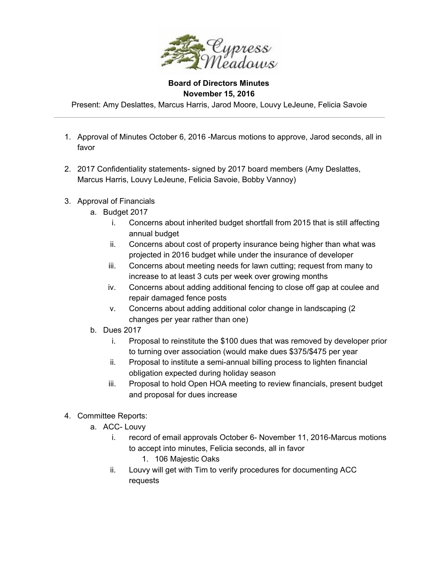

## **Board of Directors Minutes November 15, 2016**

Present: Amy Deslattes, Marcus Harris, Jarod Moore, Louvy LeJeune, Felicia Savoie

- 1. Approval of Minutes October 6, 2016 -Marcus motions to approve, Jarod seconds, all in favor
- 2. 2017 Confidentiality statements- signed by 2017 board members (Amy Deslattes, Marcus Harris, Louvy LeJeune, Felicia Savoie, Bobby Vannoy)
- 3. Approval of Financials
	- a. Budget 2017
		- i. Concerns about inherited budget shortfall from 2015 that is still affecting annual budget
		- ii. Concerns about cost of property insurance being higher than what was projected in 2016 budget while under the insurance of developer
		- iii. Concerns about meeting needs for lawn cutting; request from many to increase to at least 3 cuts per week over growing months
		- iv. Concerns about adding additional fencing to close off gap at coulee and repair damaged fence posts
		- v. Concerns about adding additional color change in landscaping (2 changes per year rather than one)
	- b. Dues 2017
		- i. Proposal to reinstitute the \$100 dues that was removed by developer prior to turning over association (would make dues \$375/\$475 per year
		- ii. Proposal to institute a semi-annual billing process to lighten financial obligation expected during holiday season
		- iii. Proposal to hold Open HOA meeting to review financials, present budget and proposal for dues increase
- 4. Committee Reports:
	- a. ACC- Louvy
		- i. record of email approvals October 6- November 11, 2016-Marcus motions to accept into minutes, Felicia seconds, all in favor
			- 1. 106 Majestic Oaks
		- ii. Louvy will get with Tim to verify procedures for documenting ACC requests